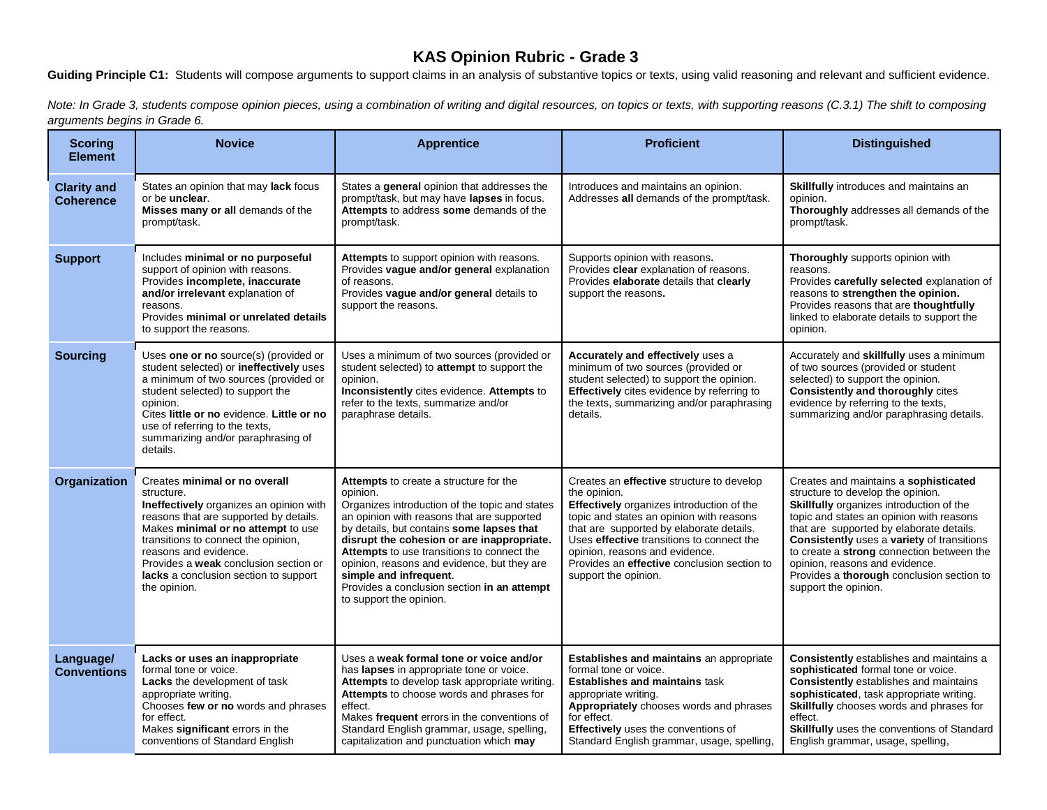## **KAS Opinion Rubric - Grade 3**

Guiding Principle C1: Students will compose arguments to support claims in an analysis of substantive topics or texts, using valid reasoning and relevant and sufficient evidence.

*Note: In Grade 3, students compose opinion pieces, using a combination of writing and digital resources, on topics or texts, with supporting reasons (C.3.1) The shift to composing arguments begins in Grade 6.*

| <b>Scoring</b><br><b>Element</b>       | <b>Novice</b>                                                                                                                                                                                                                                                                                                                            | <b>Apprentice</b>                                                                                                                                                                                                                                                                                                                                                                                                                              | <b>Proficient</b>                                                                                                                                                                                                                                                                                                                                    | <b>Distinguished</b>                                                                                                                                                                                                                                                                                                                                                                                             |
|----------------------------------------|------------------------------------------------------------------------------------------------------------------------------------------------------------------------------------------------------------------------------------------------------------------------------------------------------------------------------------------|------------------------------------------------------------------------------------------------------------------------------------------------------------------------------------------------------------------------------------------------------------------------------------------------------------------------------------------------------------------------------------------------------------------------------------------------|------------------------------------------------------------------------------------------------------------------------------------------------------------------------------------------------------------------------------------------------------------------------------------------------------------------------------------------------------|------------------------------------------------------------------------------------------------------------------------------------------------------------------------------------------------------------------------------------------------------------------------------------------------------------------------------------------------------------------------------------------------------------------|
| <b>Clarity and</b><br><b>Coherence</b> | States an opinion that may lack focus<br>or be unclear.<br>Misses many or all demands of the<br>prompt/task.                                                                                                                                                                                                                             | States a general opinion that addresses the<br>prompt/task, but may have lapses in focus.<br>Attempts to address some demands of the<br>prompt/task.                                                                                                                                                                                                                                                                                           | Introduces and maintains an opinion.<br>Addresses all demands of the prompt/task.                                                                                                                                                                                                                                                                    | Skillfully introduces and maintains an<br>opinion.<br>Thoroughly addresses all demands of the<br>prompt/task.                                                                                                                                                                                                                                                                                                    |
| <b>Support</b>                         | Includes minimal or no purposeful<br>support of opinion with reasons.<br>Provides incomplete, inaccurate<br>and/or irrelevant explanation of<br>reasons.<br>Provides minimal or unrelated details<br>to support the reasons.                                                                                                             | Attempts to support opinion with reasons.<br>Provides vague and/or general explanation<br>of reasons.<br>Provides vague and/or general details to<br>support the reasons.                                                                                                                                                                                                                                                                      | Supports opinion with reasons.<br>Provides clear explanation of reasons.<br>Provides elaborate details that clearly<br>support the reasons.                                                                                                                                                                                                          | <b>Thoroughly</b> supports opinion with<br>reasons.<br>Provides carefully selected explanation of<br>reasons to strengthen the opinion.<br>Provides reasons that are thoughtfully<br>linked to elaborate details to support the<br>opinion.                                                                                                                                                                      |
| <b>Sourcing</b>                        | Uses one or no source(s) (provided or<br>student selected) or ineffectively uses<br>a minimum of two sources (provided or<br>student selected) to support the<br>opinion.<br>Cites little or no evidence. Little or no<br>use of referring to the texts,<br>summarizing and/or paraphrasing of<br>details.                               | Uses a minimum of two sources (provided or<br>student selected) to attempt to support the<br>opinion.<br>Inconsistently cites evidence. Attempts to<br>refer to the texts, summarize and/or<br>paraphrase details.                                                                                                                                                                                                                             | <b>Accurately and effectively uses a</b><br>minimum of two sources (provided or<br>student selected) to support the opinion.<br>Effectively cites evidence by referring to<br>the texts, summarizing and/or paraphrasing<br>details.                                                                                                                 | Accurately and skillfully uses a minimum<br>of two sources (provided or student<br>selected) to support the opinion.<br><b>Consistently and thoroughly cites</b><br>evidence by referring to the texts,<br>summarizing and/or paraphrasing details.                                                                                                                                                              |
| <b>Organization</b>                    | Creates minimal or no overall<br>structure.<br>Ineffectively organizes an opinion with<br>reasons that are supported by details.<br>Makes minimal or no attempt to use<br>transitions to connect the opinion,<br>reasons and evidence.<br>Provides a weak conclusion section or<br>lacks a conclusion section to support<br>the opinion. | Attempts to create a structure for the<br>opinion.<br>Organizes introduction of the topic and states<br>an opinion with reasons that are supported<br>by details, but contains some lapses that<br>disrupt the cohesion or are inappropriate.<br>Attempts to use transitions to connect the<br>opinion, reasons and evidence, but they are<br>simple and infrequent.<br>Provides a conclusion section in an attempt<br>to support the opinion. | Creates an effective structure to develop<br>the opinion.<br>Effectively organizes introduction of the<br>topic and states an opinion with reasons<br>that are supported by elaborate details.<br>Uses effective transitions to connect the<br>opinion, reasons and evidence.<br>Provides an effective conclusion section to<br>support the opinion. | Creates and maintains a sophisticated<br>structure to develop the opinion.<br>Skillfully organizes introduction of the<br>topic and states an opinion with reasons<br>that are supported by elaborate details.<br>Consistently uses a variety of transitions<br>to create a strong connection between the<br>opinion, reasons and evidence.<br>Provides a thorough conclusion section to<br>support the opinion. |
| Language/<br><b>Conventions</b>        | Lacks or uses an inappropriate<br>formal tone or voice.<br><b>Lacks</b> the development of task<br>appropriate writing.<br>Chooses few or no words and phrases<br>for effect.<br>Makes significant errors in the<br>conventions of Standard English                                                                                      | Uses a weak formal tone or voice and/or<br>has lapses in appropriate tone or voice.<br>Attempts to develop task appropriate writing.<br>Attempts to choose words and phrases for<br>effect.<br>Makes frequent errors in the conventions of<br>Standard English grammar, usage, spelling,<br>capitalization and punctuation which may                                                                                                           | <b>Establishes and maintains</b> an appropriate<br>formal tone or voice.<br><b>Establishes and maintains task</b><br>appropriate writing.<br>Appropriately chooses words and phrases<br>for effect.<br>Effectively uses the conventions of<br>Standard English grammar, usage, spelling,                                                             | <b>Consistently</b> establishes and maintains a<br>sophisticated formal tone or voice.<br><b>Consistently</b> establishes and maintains<br>sophisticated, task appropriate writing.<br>Skillfully chooses words and phrases for<br>effect.<br>Skillfully uses the conventions of Standard<br>English grammar, usage, spelling,                                                                                   |